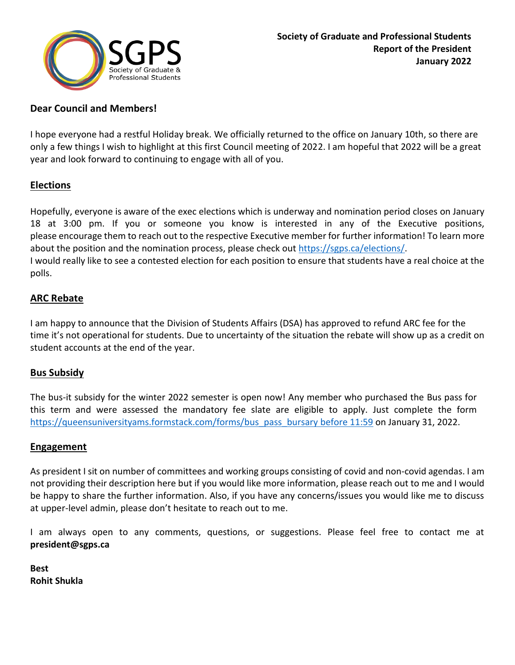

# **Dear Council and Members!**

I hope everyone had a restful Holiday break. We officially returned to the office on January 10th, so there are only a few things I wish to highlight at this first Council meeting of 2022. I am hopeful that 2022 will be a great year and look forward to continuing to engage with all of you.

# **Elections**

Hopefully, everyone is aware of the exec elections which is underway and nomination period closes on January 18 at 3:00 pm. If you or someone you know is interested in any of the Executive positions, please encourage them to reach out to the respective Executive member for further information! To learn more about the position and the nomination process, please check out [https://sgps.ca/elections/.](https://sgps.ca/elections/) I would really like to see a contested election for each position to ensure that students have a real choice at the polls.

### **ARC Rebate**

I am happy to announce that the Division of Students Affairs (DSA) has approved to refund ARC fee for the time it's not operational for students. Due to uncertainty of the situation the rebate will show up as a credit on student accounts at the end of the year.

# **Bus Subsidy**

The bus-it subsidy for the winter 2022 semester is open now! Any member who purchased the Bus pass for this term and were assessed the mandatory fee slate are eligible to apply. Just complete the form [https://queensuniversityams.formstack.com/forms/bus\\_pass\\_bursary](https://queensuniversityams.formstack.com/forms/bus_pass_bursary%20before%2011:59) before 11:59 on January 31, 2022.

### **Engagement**

As president I sit on number of committees and working groups consisting of covid and non-covid agendas. I am not providing their description here but if you would like more information, please reach out to me and I would be happy to share the further information. Also, if you have any concerns/issues you would like me to discuss at upper-level admin, please don't hesitate to reach out to me.

I am always open to any comments, questions, or suggestions. Please feel free to contact me at **president@sgps.ca**

**Best Rohit Shukla**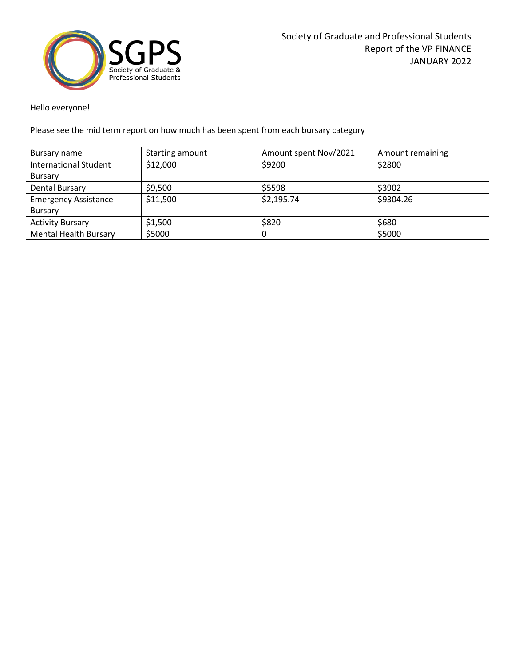

Hello everyone!

Please see the mid term report on how much has been spent from each bursary category

| Bursary name                 | Starting amount | Amount spent Nov/2021 | Amount remaining |
|------------------------------|-----------------|-----------------------|------------------|
| <b>International Student</b> | \$12,000        | \$9200                | \$2800           |
| Bursary                      |                 |                       |                  |
| Dental Bursary               | \$9,500         | \$5598                | \$3902           |
| <b>Emergency Assistance</b>  | \$11,500        | \$2,195.74            | \$9304.26        |
| Bursary                      |                 |                       |                  |
| <b>Activity Bursary</b>      | \$1,500         | \$820                 | \$680            |
| <b>Mental Health Bursary</b> | \$5000          | 0                     | \$5000           |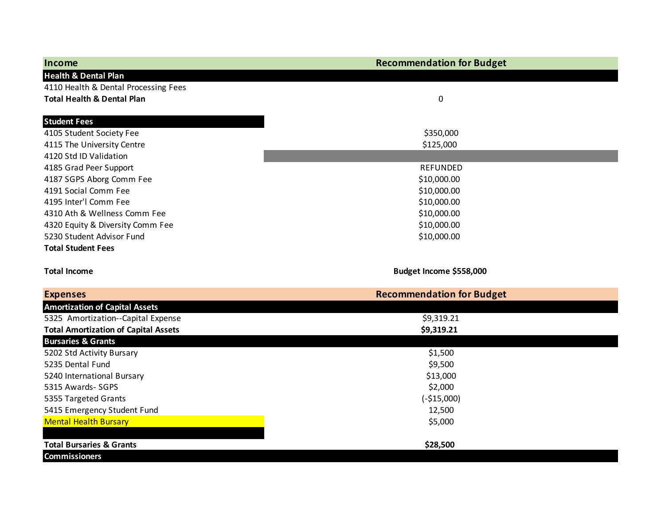| Income                                      | <b>Recommendation for Budget</b> |  |
|---------------------------------------------|----------------------------------|--|
| <b>Health &amp; Dental Plan</b>             |                                  |  |
| 4110 Health & Dental Processing Fees        |                                  |  |
| <b>Total Health &amp; Dental Plan</b>       | 0                                |  |
| <b>Student Fees</b>                         |                                  |  |
| 4105 Student Society Fee                    | \$350,000                        |  |
| 4115 The University Centre                  | \$125,000                        |  |
| 4120 Std ID Validation                      |                                  |  |
| 4185 Grad Peer Support                      | <b>REFUNDED</b>                  |  |
| 4187 SGPS Aborg Comm Fee                    | \$10,000.00                      |  |
| 4191 Social Comm Fee                        | \$10,000.00                      |  |
| 4195 Inter'l Comm Fee                       | \$10,000.00                      |  |
| 4310 Ath & Wellness Comm Fee                | \$10,000.00                      |  |
| 4320 Equity & Diversity Comm Fee            | \$10,000.00                      |  |
| 5230 Student Advisor Fund                   | \$10,000.00                      |  |
| <b>Total Student Fees</b>                   |                                  |  |
|                                             |                                  |  |
| <b>Total Income</b>                         | Budget Income \$558,000          |  |
| <b>Expenses</b>                             | <b>Recommendation for Budget</b> |  |
| <b>Amortization of Capital Assets</b>       |                                  |  |
| 5325 Amortization--Capital Expense          | \$9,319.21                       |  |
| <b>Total Amortization of Capital Assets</b> | \$9,319.21                       |  |
| <b>Bursaries &amp; Grants</b>               |                                  |  |
| 5202 Std Activity Bursary                   | \$1,500                          |  |
| 5235 Dental Fund                            | \$9,500                          |  |
| 5240 International Bursary                  | \$13,000                         |  |
| 5315 Awards- SGPS                           | \$2,000                          |  |
| 5355 Targeted Grants                        | $(-$15,000)$                     |  |
| 5415 Emergency Student Fund                 | 12,500                           |  |
| <b>Mental Health Bursary</b>                | \$5,000                          |  |
|                                             |                                  |  |
| <b>Total Bursaries &amp; Grants</b>         | \$28,500                         |  |
| <b>Commissioners</b>                        |                                  |  |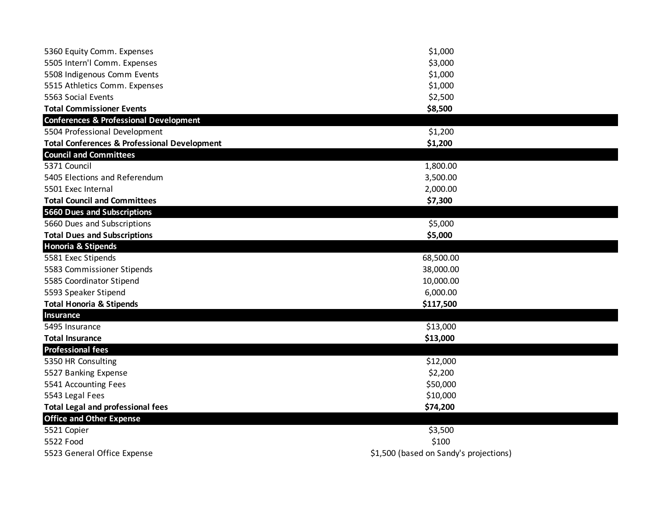| 5360 Equity Comm. Expenses                              | \$1,000                                |
|---------------------------------------------------------|----------------------------------------|
| 5505 Intern'l Comm. Expenses                            | \$3,000                                |
| 5508 Indigenous Comm Events                             | \$1,000                                |
| 5515 Athletics Comm. Expenses                           | \$1,000                                |
| 5563 Social Events                                      | \$2,500                                |
| <b>Total Commissioner Events</b>                        | \$8,500                                |
| <b>Conferences &amp; Professional Development</b>       |                                        |
| 5504 Professional Development                           | \$1,200                                |
| <b>Total Conferences &amp; Professional Development</b> | \$1,200                                |
| <b>Council and Committees</b>                           |                                        |
| 5371 Council                                            | 1,800.00                               |
| 5405 Elections and Referendum                           | 3,500.00                               |
| 5501 Exec Internal                                      | 2,000.00                               |
| <b>Total Council and Committees</b>                     | \$7,300                                |
| <b>5660 Dues and Subscriptions</b>                      |                                        |
| 5660 Dues and Subscriptions                             | \$5,000                                |
| <b>Total Dues and Subscriptions</b>                     | \$5,000                                |
| <b>Honoria &amp; Stipends</b>                           |                                        |
| 5581 Exec Stipends                                      | 68,500.00                              |
| 5583 Commissioner Stipends                              | 38,000.00                              |
| 5585 Coordinator Stipend                                | 10,000.00                              |
| 5593 Speaker Stipend                                    | 6,000.00                               |
| <b>Total Honoria &amp; Stipends</b>                     | \$117,500                              |
| <b>Insurance</b>                                        |                                        |
| 5495 Insurance                                          | \$13,000                               |
| <b>Total Insurance</b>                                  | \$13,000                               |
| <b>Professional fees</b>                                |                                        |
| 5350 HR Consulting                                      | \$12,000                               |
| 5527 Banking Expense                                    | \$2,200                                |
| 5541 Accounting Fees                                    | \$50,000                               |
| 5543 Legal Fees                                         | \$10,000                               |
| <b>Total Legal and professional fees</b>                | \$74,200                               |
| <b>Office and Other Expense</b>                         |                                        |
| 5521 Copier                                             | \$3,500                                |
| 5522 Food                                               | \$100                                  |
| 5523 General Office Expense                             | \$1,500 (based on Sandy's projections) |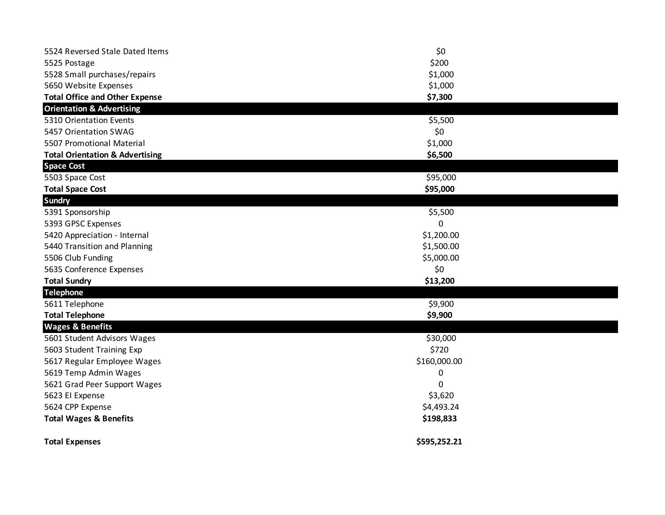| <b>Total Expenses</b>                      | \$595,252.21 |  |
|--------------------------------------------|--------------|--|
| <b>Total Wages &amp; Benefits</b>          | \$198,833    |  |
| 5624 CPP Expense                           | \$4,493.24   |  |
| 5623 El Expense                            | \$3,620      |  |
| 5621 Grad Peer Support Wages               | 0            |  |
| 5619 Temp Admin Wages                      | 0            |  |
| 5617 Regular Employee Wages                | \$160,000.00 |  |
| 5603 Student Training Exp                  | \$720        |  |
| 5601 Student Advisors Wages                | \$30,000     |  |
| <b>Wages &amp; Benefits</b>                |              |  |
| <b>Total Telephone</b>                     | \$9,900      |  |
| 5611 Telephone                             | \$9,900      |  |
| <b>Telephone</b>                           |              |  |
| <b>Total Sundry</b>                        | \$13,200     |  |
| 5635 Conference Expenses                   | \$0          |  |
| 5506 Club Funding                          | \$5,000.00   |  |
| 5440 Transition and Planning               | \$1,500.00   |  |
| 5420 Appreciation - Internal               | \$1,200.00   |  |
| 5393 GPSC Expenses                         | 0            |  |
| 5391 Sponsorship                           | \$5,500      |  |
| <b>Sundry</b>                              |              |  |
| <b>Total Space Cost</b>                    | \$95,000     |  |
| 5503 Space Cost                            | \$95,000     |  |
| <b>Space Cost</b>                          |              |  |
| <b>Total Orientation &amp; Advertising</b> | \$6,500      |  |
| 5507 Promotional Material                  | \$1,000      |  |
| 5457 Orientation SWAG                      | \$0          |  |
| 5310 Orientation Events                    | \$5,500      |  |
| <b>Orientation &amp; Advertising</b>       |              |  |
| <b>Total Office and Other Expense</b>      | \$7,300      |  |
| 5650 Website Expenses                      | \$1,000      |  |
| 5528 Small purchases/repairs               | \$1,000      |  |
| 5525 Postage                               | \$200        |  |
| 5524 Reversed Stale Dated Items            | \$0          |  |
|                                            |              |  |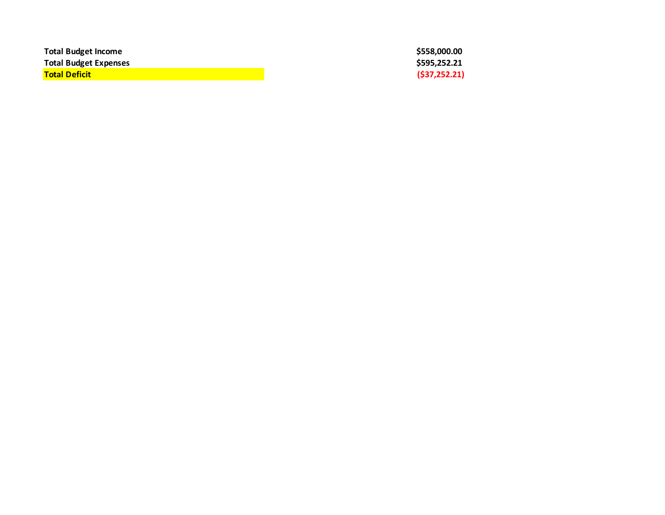| <b>Total Budget Income</b>   |  |
|------------------------------|--|
| <b>Total Budget Expenses</b> |  |
| <b>Total Deficit</b>         |  |

**Total Budget Income \$558,000.00 Total Budget Expenses \$595,252.21 Total Deficit (\$37,252.21)**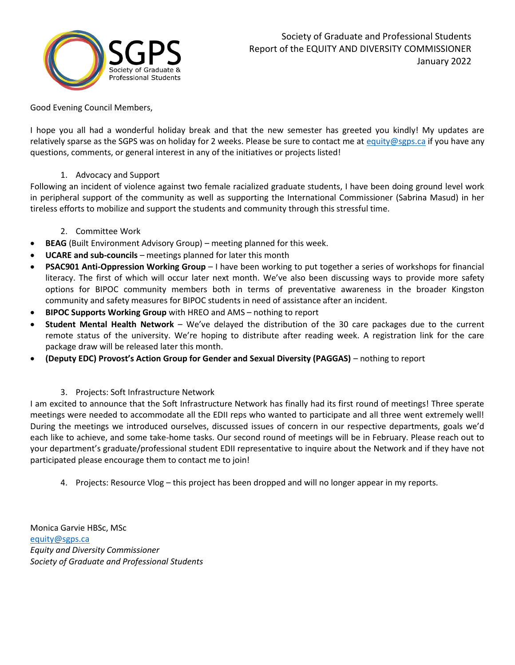

Good Evening Council Members,

I hope you all had a wonderful holiday break and that the new semester has greeted you kindly! My updates are relatively sparse as the SGPS was on holiday for 2 weeks. Please be sure to contact me a[t equity@sgps.ca](mailto:equity@sgps.ca) if you have any questions, comments, or general interest in any of the initiatives or projects listed!

#### 1. Advocacy and Support

Following an incident of violence against two female racialized graduate students, I have been doing ground level work in peripheral support of the community as well as supporting the International Commissioner (Sabrina Masud) in her tireless efforts to mobilize and support the students and community through this stressful time.

#### 2. Committee Work

- **BEAG** (Built Environment Advisory Group) meeting planned for this week.
- **UCARE and sub-councils** meetings planned for later this month
- **PSAC901 Anti-Oppression Working Group** I have been working to put together a series of workshops for financial literacy. The first of which will occur later next month. We've also been discussing ways to provide more safety options for BIPOC community members both in terms of preventative awareness in the broader Kingston community and safety measures for BIPOC students in need of assistance after an incident.
- **BIPOC Supports Working Group** with HREO and AMS nothing to report
- **Student Mental Health Network** We've delayed the distribution of the 30 care packages due to the current remote status of the university. We're hoping to distribute after reading week. A registration link for the care package draw will be released later this month.
- **(Deputy EDC) Provost's Action Group for Gender and Sexual Diversity (PAGGAS)** nothing to report

### 3. Projects: Soft Infrastructure Network

I am excited to announce that the Soft Infrastructure Network has finally had its first round of meetings! Three sperate meetings were needed to accommodate all the EDII reps who wanted to participate and all three went extremely well! During the meetings we introduced ourselves, discussed issues of concern in our respective departments, goals we'd each like to achieve, and some take-home tasks. Our second round of meetings will be in February. Please reach out to your department's graduate/professional student EDII representative to inquire about the Network and if they have not participated please encourage them to contact me to join!

4. Projects: Resource Vlog – this project has been dropped and will no longer appear in my reports.

Monica Garvie HBSc, MSc [equity@sgps.ca](mailto:equity@sgps.ca) *Equity and Diversity Commissioner Society of Graduate and Professional Students*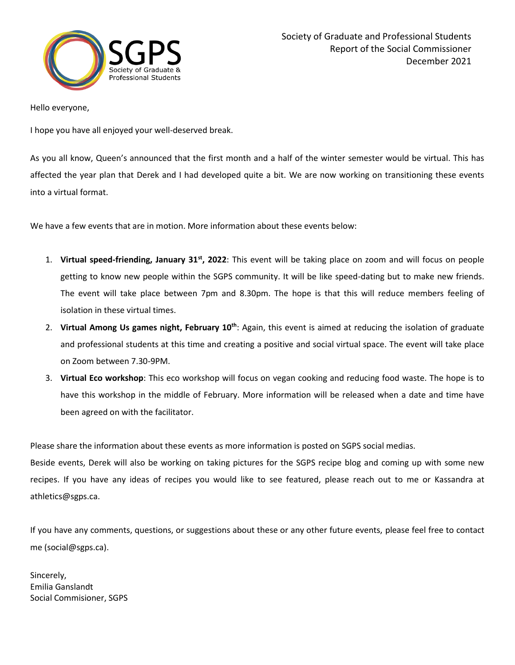

Hello everyone,

I hope you have all enjoyed your well-deserved break.

As you all know, Queen's announced that the first month and a half of the winter semester would be virtual. This has affected the year plan that Derek and I had developed quite a bit. We are now working on transitioning these events into a virtual format.

We have a few events that are in motion. More information about these events below:

- 1. **Virtual speed-friending, January 31st, 2022**: This event will be taking place on zoom and will focus on people getting to know new people within the SGPS community. It will be like speed-dating but to make new friends. The event will take place between 7pm and 8.30pm. The hope is that this will reduce members feeling of isolation in these virtual times.
- 2. **Virtual Among Us games night, February 10th**: Again, this event is aimed at reducing the isolation of graduate and professional students at this time and creating a positive and social virtual space. The event will take place on Zoom between 7.30-9PM.
- 3. **Virtual Eco workshop**: This eco workshop will focus on vegan cooking and reducing food waste. The hope is to have this workshop in the middle of February. More information will be released when a date and time have been agreed on with the facilitator.

Please share the information about these events as more information is posted on SGPS social medias.

Beside events, Derek will also be working on taking pictures for the SGPS recipe blog and coming up with some new recipes. If you have any ideas of recipes you would like to see featured, please reach out to me or Kassandra at athletics@sgps.ca.

If you have any comments, questions, or suggestions about these or any other future events, please feel free to contact me (social@sgps.ca).

Sincerely, Emilia Ganslandt Social Commisioner, SGPS